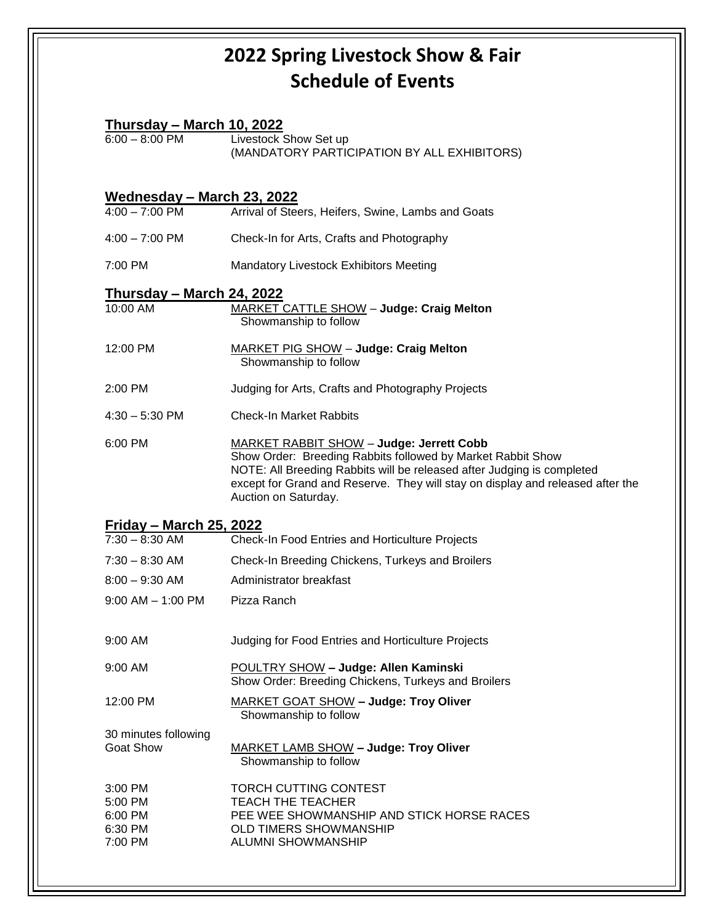## **2022 Spring Livestock Show & Fair Schedule of Events**

| <u> Thursday – March 10, 2022</u>  |                                                                                                                                                                                                                                                                                                    |
|------------------------------------|----------------------------------------------------------------------------------------------------------------------------------------------------------------------------------------------------------------------------------------------------------------------------------------------------|
| $6:00 - 8:00$ PM                   | Livestock Show Set up<br>(MANDATORY PARTICIPATION BY ALL EXHIBITORS)                                                                                                                                                                                                                               |
| <u> Wednesday – March 23, 2022</u> |                                                                                                                                                                                                                                                                                                    |
| $4:00 - 7:00$ PM                   | Arrival of Steers, Heifers, Swine, Lambs and Goats                                                                                                                                                                                                                                                 |
| $4:00 - 7:00$ PM                   | Check-In for Arts, Crafts and Photography                                                                                                                                                                                                                                                          |
| 7:00 PM                            | <b>Mandatory Livestock Exhibitors Meeting</b>                                                                                                                                                                                                                                                      |
| <u> Thursday – March 24, 2022</u>  |                                                                                                                                                                                                                                                                                                    |
| 10:00 AM                           | <b>MARKET CATTLE SHOW - Judge: Craig Melton</b><br>Showmanship to follow                                                                                                                                                                                                                           |
| 12:00 PM                           | MARKET PIG SHOW - Judge: Craig Melton<br>Showmanship to follow                                                                                                                                                                                                                                     |
| 2:00 PM                            | Judging for Arts, Crafts and Photography Projects                                                                                                                                                                                                                                                  |
| $4:30 - 5:30$ PM                   | <b>Check-In Market Rabbits</b>                                                                                                                                                                                                                                                                     |
| 6:00 PM                            | <b>MARKET RABBIT SHOW - Judge: Jerrett Cobb</b><br>Show Order: Breeding Rabbits followed by Market Rabbit Show<br>NOTE: All Breeding Rabbits will be released after Judging is completed<br>except for Grand and Reserve. They will stay on display and released after the<br>Auction on Saturday. |
| <u> Friday – March 25, 2022</u>    |                                                                                                                                                                                                                                                                                                    |
| $7:30 - 8:30$ AM                   | <b>Check-In Food Entries and Horticulture Projects</b>                                                                                                                                                                                                                                             |
| $7:30 - 8:30$ AM                   | Check-In Breeding Chickens, Turkeys and Broilers                                                                                                                                                                                                                                                   |
| $8:00 - 9:30$ AM                   | Administrator breakfast                                                                                                                                                                                                                                                                            |
| $9:00$ AM $-$ 1:00 PM              | Pizza Ranch                                                                                                                                                                                                                                                                                        |
| 9:00 AM                            | Judging for Food Entries and Horticulture Projects                                                                                                                                                                                                                                                 |
| 9:00 AM                            | <b>POULTRY SHOW - Judge: Allen Kaminski</b><br>Show Order: Breeding Chickens, Turkeys and Broilers                                                                                                                                                                                                 |
| 12:00 PM                           | MARKET GOAT SHOW - Judge: Troy Oliver<br>Showmanship to follow                                                                                                                                                                                                                                     |
| 30 minutes following               |                                                                                                                                                                                                                                                                                                    |
| <b>Goat Show</b>                   | MARKET LAMB SHOW - Judge: Troy Oliver<br>Showmanship to follow                                                                                                                                                                                                                                     |
| 3:00 PM                            | TORCH CUTTING CONTEST                                                                                                                                                                                                                                                                              |
| 5:00 PM                            | <b>TEACH THE TEACHER</b>                                                                                                                                                                                                                                                                           |
| 6:00 PM<br>6:30 PM                 | PEE WEE SHOWMANSHIP AND STICK HORSE RACES<br><b>OLD TIMERS SHOWMANSHIP</b>                                                                                                                                                                                                                         |
| 7:00 PM                            | <b>ALUMNI SHOWMANSHIP</b>                                                                                                                                                                                                                                                                          |
|                                    |                                                                                                                                                                                                                                                                                                    |